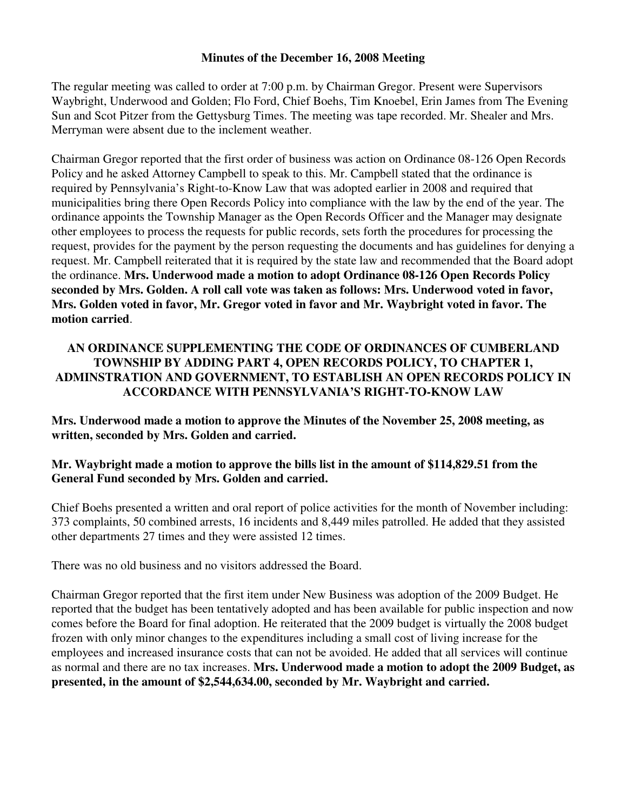#### **Minutes of the December 16, 2008 Meeting**

The regular meeting was called to order at 7:00 p.m. by Chairman Gregor. Present were Supervisors Waybright, Underwood and Golden; Flo Ford, Chief Boehs, Tim Knoebel, Erin James from The Evening Sun and Scot Pitzer from the Gettysburg Times. The meeting was tape recorded. Mr. Shealer and Mrs. Merryman were absent due to the inclement weather.

Chairman Gregor reported that the first order of business was action on Ordinance 08-126 Open Records Policy and he asked Attorney Campbell to speak to this. Mr. Campbell stated that the ordinance is required by Pennsylvania's Right-to-Know Law that was adopted earlier in 2008 and required that municipalities bring there Open Records Policy into compliance with the law by the end of the year. The ordinance appoints the Township Manager as the Open Records Officer and the Manager may designate other employees to process the requests for public records, sets forth the procedures for processing the request, provides for the payment by the person requesting the documents and has guidelines for denying a request. Mr. Campbell reiterated that it is required by the state law and recommended that the Board adopt the ordinance. **Mrs. Underwood made a motion to adopt Ordinance 08-126 Open Records Policy seconded by Mrs. Golden. A roll call vote was taken as follows: Mrs. Underwood voted in favor, Mrs. Golden voted in favor, Mr. Gregor voted in favor and Mr. Waybright voted in favor. The motion carried**.

# **AN ORDINANCE SUPPLEMENTING THE CODE OF ORDINANCES OF CUMBERLAND TOWNSHIP BY ADDING PART 4, OPEN RECORDS POLICY, TO CHAPTER 1, ADMINSTRATION AND GOVERNMENT, TO ESTABLISH AN OPEN RECORDS POLICY IN ACCORDANCE WITH PENNSYLVANIA'S RIGHT-TO-KNOW LAW**

**Mrs. Underwood made a motion to approve the Minutes of the November 25, 2008 meeting, as written, seconded by Mrs. Golden and carried.** 

## **Mr. Waybright made a motion to approve the bills list in the amount of \$114,829.51 from the General Fund seconded by Mrs. Golden and carried.**

Chief Boehs presented a written and oral report of police activities for the month of November including: 373 complaints, 50 combined arrests, 16 incidents and 8,449 miles patrolled. He added that they assisted other departments 27 times and they were assisted 12 times.

There was no old business and no visitors addressed the Board.

Chairman Gregor reported that the first item under New Business was adoption of the 2009 Budget. He reported that the budget has been tentatively adopted and has been available for public inspection and now comes before the Board for final adoption. He reiterated that the 2009 budget is virtually the 2008 budget frozen with only minor changes to the expenditures including a small cost of living increase for the employees and increased insurance costs that can not be avoided. He added that all services will continue as normal and there are no tax increases. **Mrs. Underwood made a motion to adopt the 2009 Budget, as presented, in the amount of \$2,544,634.00, seconded by Mr. Waybright and carried.**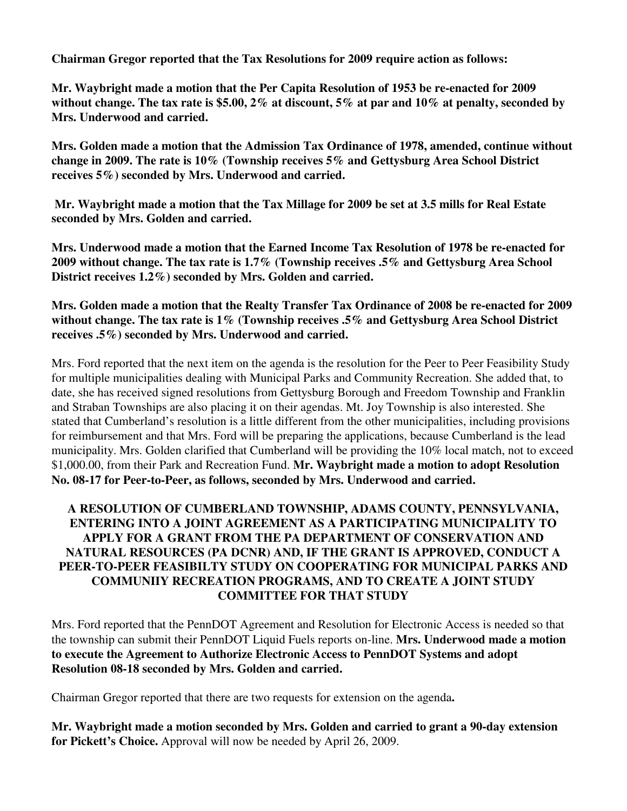**Chairman Gregor reported that the Tax Resolutions for 2009 require action as follows:** 

**Mr. Waybright made a motion that the Per Capita Resolution of 1953 be re-enacted for 2009 without change. The tax rate is \$5.00, 2% at discount, 5% at par and 10% at penalty, seconded by Mrs. Underwood and carried.** 

**Mrs. Golden made a motion that the Admission Tax Ordinance of 1978, amended, continue without change in 2009. The rate is 10% (Township receives 5% and Gettysburg Area School District receives 5%) seconded by Mrs. Underwood and carried.** 

 **Mr. Waybright made a motion that the Tax Millage for 2009 be set at 3.5 mills for Real Estate seconded by Mrs. Golden and carried.** 

**Mrs. Underwood made a motion that the Earned Income Tax Resolution of 1978 be re-enacted for 2009 without change. The tax rate is 1.7% (Township receives .5% and Gettysburg Area School District receives 1.2%) seconded by Mrs. Golden and carried.** 

**Mrs. Golden made a motion that the Realty Transfer Tax Ordinance of 2008 be re-enacted for 2009 without change. The tax rate is 1% (Township receives .5% and Gettysburg Area School District receives .5%) seconded by Mrs. Underwood and carried.** 

Mrs. Ford reported that the next item on the agenda is the resolution for the Peer to Peer Feasibility Study for multiple municipalities dealing with Municipal Parks and Community Recreation. She added that, to date, she has received signed resolutions from Gettysburg Borough and Freedom Township and Franklin and Straban Townships are also placing it on their agendas. Mt. Joy Township is also interested. She stated that Cumberland's resolution is a little different from the other municipalities, including provisions for reimbursement and that Mrs. Ford will be preparing the applications, because Cumberland is the lead municipality. Mrs. Golden clarified that Cumberland will be providing the 10% local match, not to exceed \$1,000.00, from their Park and Recreation Fund. **Mr. Waybright made a motion to adopt Resolution No. 08-17 for Peer-to-Peer, as follows, seconded by Mrs. Underwood and carried.** 

# **A RESOLUTION OF CUMBERLAND TOWNSHIP, ADAMS COUNTY, PENNSYLVANIA, ENTERING INTO A JOINT AGREEMENT AS A PARTICIPATING MUNICIPALITY TO APPLY FOR A GRANT FROM THE PA DEPARTMENT OF CONSERVATION AND NATURAL RESOURCES (PA DCNR) AND, IF THE GRANT IS APPROVED, CONDUCT A PEER-TO-PEER FEASIBILTY STUDY ON COOPERATING FOR MUNICIPAL PARKS AND COMMUNIIY RECREATION PROGRAMS, AND TO CREATE A JOINT STUDY COMMITTEE FOR THAT STUDY**

Mrs. Ford reported that the PennDOT Agreement and Resolution for Electronic Access is needed so that the township can submit their PennDOT Liquid Fuels reports on-line. **Mrs. Underwood made a motion to execute the Agreement to Authorize Electronic Access to PennDOT Systems and adopt Resolution 08-18 seconded by Mrs. Golden and carried.** 

Chairman Gregor reported that there are two requests for extension on the agenda**.** 

**Mr. Waybright made a motion seconded by Mrs. Golden and carried to grant a 90-day extension for Pickett's Choice.** Approval will now be needed by April 26, 2009.